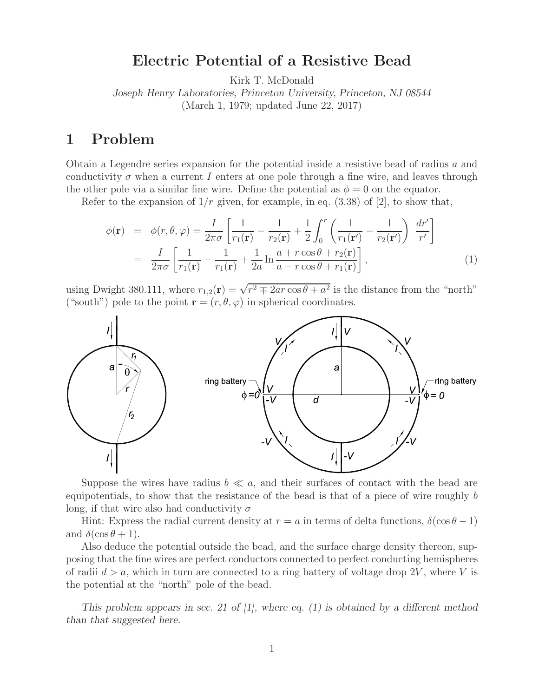# **Electric Potential of a Resistive Bead**

Kirk T. McDonald

*Joseph Henry Laboratories, Princeton University, Princeton, NJ 08544* (March 1, 1979; updated June 22, 2017)

## **1 Problem**

Obtain a Legendre series expansion for the potential inside a resistive bead of radius a and conductivity  $\sigma$  when a current I enters at one pole through a fine wire, and leaves through the other pole via a similar fine wire. Define the potential as  $\phi = 0$  on the equator.

Refer to the expansion of  $1/r$  given, for example, in eq. (3.38) of [2], to show that,

$$
\phi(\mathbf{r}) = \phi(r,\theta,\varphi) = \frac{I}{2\pi\sigma} \left[ \frac{1}{r_1(\mathbf{r})} - \frac{1}{r_2(\mathbf{r})} + \frac{1}{2} \int_0^r \left( \frac{1}{r_1(\mathbf{r}')} - \frac{1}{r_2(\mathbf{r}')} \right) \frac{dr'}{r'} \right]
$$

$$
= \frac{I}{2\pi\sigma} \left[ \frac{1}{r_1(\mathbf{r})} - \frac{1}{r_1(\mathbf{r})} + \frac{1}{2a} \ln \frac{a + r \cos \theta + r_2(\mathbf{r})}{a - r \cos \theta + r_1(\mathbf{r})} \right],
$$
(1)

using Dwight 380.111, where  $r_{1,2}(\mathbf{r}) = \sqrt{r^2 + 2ar \cos \theta + a^2}$  is the distance from the "north" ("south") pole to the point  $\mathbf{r} = (r, \theta, \varphi)$  in spherical coordinates.



Suppose the wires have radius  $b \ll a$ , and their surfaces of contact with the bead are equipotentials, to show that the resistance of the bead is that of a piece of wire roughly b long, if that wire also had conductivity  $\sigma$ 

Hint: Express the radial current density at  $r = a$  in terms of delta functions,  $\delta(\cos \theta - 1)$ and  $\delta(\cos\theta+1)$ .

Also deduce the potential outside the bead, and the surface charge density thereon, supposing that the fine wires are perfect conductors connected to perfect conducting hemispheres of radii  $d > a$ , which in turn are connected to a ring battery of voltage drop 2V, where V is the potential at the "north" pole of the bead.

*This problem appears in sec. 21 of [1], where eq. (1) is obtained by a different method than that suggested here.*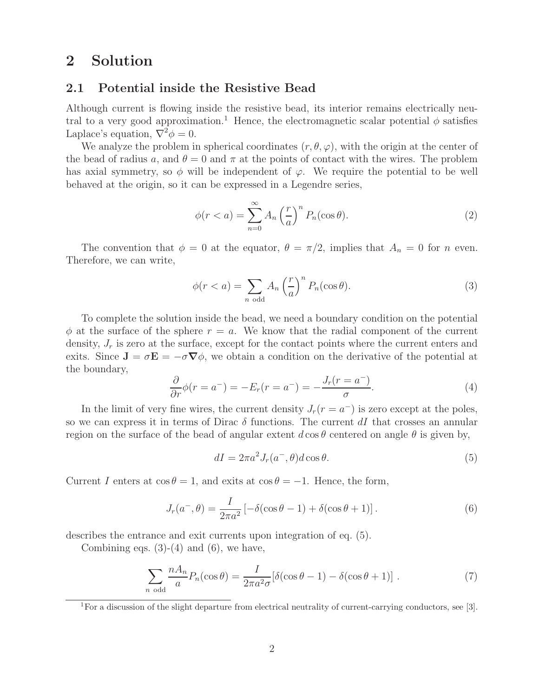## **2 Solution**

#### **2.1 Potential inside the Resistive Bead**

Although current is flowing inside the resistive bead, its interior remains electrically neutral to a very good approximation.<sup>1</sup> Hence, the electromagnetic scalar potential  $\phi$  satisfies Laplace's equation,  $\nabla^2 \phi = 0$ .

We analyze the problem in spherical coordinates  $(r, \theta, \varphi)$ , with the origin at the center of the bead of radius a, and  $\theta = 0$  and  $\pi$  at the points of contact with the wires. The problem has axial symmetry, so  $\phi$  will be independent of  $\varphi$ . We require the potential to be well behaved at the origin, so it can be expressed in a Legendre series,

$$
\phi(r < a) = \sum_{n=0}^{\infty} A_n \left(\frac{r}{a}\right)^n P_n(\cos \theta). \tag{2}
$$

The convention that  $\phi = 0$  at the equator,  $\theta = \pi/2$ , implies that  $A_n = 0$  for n even. Therefore, we can write,

$$
\phi(r < a) = \sum_{n \text{ odd}} A_n \left(\frac{r}{a}\right)^n P_n(\cos \theta). \tag{3}
$$

To complete the solution inside the bead, we need a boundary condition on the potential  $\phi$  at the surface of the sphere  $r = a$ . We know that the radial component of the current density,  $J_r$  is zero at the surface, except for the contact points where the current enters and exits. Since  $J = \sigma E = -\sigma \nabla \phi$ , we obtain a condition on the derivative of the potential at the boundary,

$$
\frac{\partial}{\partial r}\phi(r=a^{-})=-E_r(r=a^{-})=-\frac{J_r(r=a^{-})}{\sigma}.
$$
\n(4)

In the limit of very fine wires, the current density  $J_r(r = a^-)$  is zero except at the poles, so we can express it in terms of Dirac  $\delta$  functions. The current dI that crosses an annular region on the surface of the bead of angular extent  $d\cos\theta$  centered on angle  $\theta$  is given by,

$$
dI = 2\pi a^2 J_r(a^-,\theta) d\cos\theta.
$$
 (5)

Current I enters at  $\cos \theta = 1$ , and exits at  $\cos \theta = -1$ . Hence, the form,

$$
J_r(a^-,\theta) = \frac{I}{2\pi a^2} \left[ -\delta(\cos\theta - 1) + \delta(\cos\theta + 1) \right].
$$
 (6)

describes the entrance and exit currents upon integration of eq. (5).

Combining eqs.  $(3)-(4)$  and  $(6)$ , we have,

$$
\sum_{n \text{ odd}} \frac{n A_n}{a} P_n(\cos \theta) = \frac{I}{2\pi a^2 \sigma} [\delta(\cos \theta - 1) - \delta(\cos \theta + 1)]. \tag{7}
$$

<sup>1</sup>For a discussion of the slight departure from electrical neutrality of current-carrying conductors, see [3].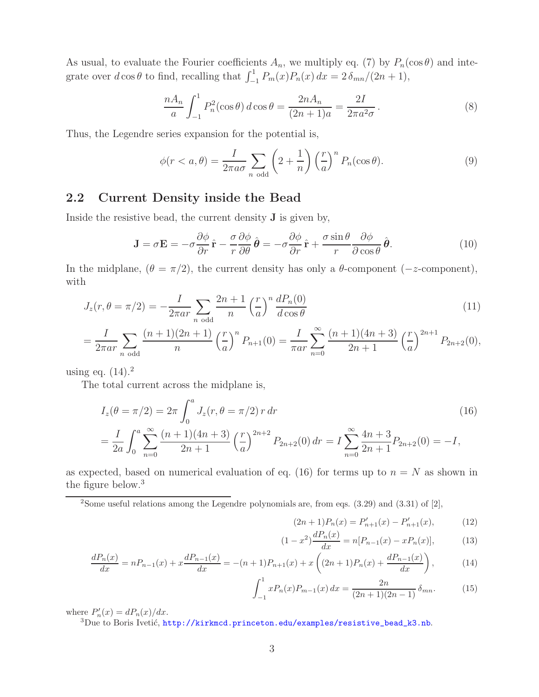As usual, to evaluate the Fourier coefficients  $A_n$ , we multiply eq. (7) by  $P_n(\cos \theta)$  and integrate over  $d \cos \theta$  to find, recalling that  $\int_{-1}^{1} P_m(x) P_n(x) dx = 2 \delta_{mn} / (2n + 1)$ ,

$$
\frac{nA_n}{a} \int_{-1}^1 P_n^2(\cos \theta) \, d\cos \theta = \frac{2nA_n}{(2n+1)a} = \frac{2I}{2\pi a^2 \sigma} \,. \tag{8}
$$

Thus, the Legendre series expansion for the potential is,

$$
\phi(r < a, \theta) = \frac{I}{2\pi a \sigma} \sum_{n \text{ odd}} \left(2 + \frac{1}{n}\right) \left(\frac{r}{a}\right)^n P_n(\cos \theta). \tag{9}
$$

## **2.2 Current Density inside the Bead**

Inside the resistive bead, the current density **J** is given by,

$$
\mathbf{J} = \sigma \mathbf{E} = -\sigma \frac{\partial \phi}{\partial r} \hat{\mathbf{r}} - \frac{\sigma}{r} \frac{\partial \phi}{\partial \theta} \hat{\boldsymbol{\theta}} = -\sigma \frac{\partial \phi}{\partial r} \hat{\mathbf{r}} + \frac{\sigma \sin \theta}{r} \frac{\partial \phi}{\partial \cos \theta} \hat{\boldsymbol{\theta}}.
$$
(10)

In the midplane,  $(\theta = \pi/2)$ , the current density has only a  $\theta$ -component (−z-component), with

$$
J_z(r,\theta = \pi/2) = -\frac{I}{2\pi ar} \sum_{n \text{ odd}} \frac{2n+1}{n} \left(\frac{r}{a}\right)^n \frac{dP_n(0)}{d\cos\theta} \tag{11}
$$

$$
= \frac{I}{2\pi ar} \sum_{n \text{ odd}} \frac{(n+1)(2n+1)}{n} \left(\frac{r}{a}\right)^n P_{n+1}(0) = \frac{I}{\pi ar} \sum_{n=0}^{\infty} \frac{(n+1)(4n+3)}{2n+1} \left(\frac{r}{a}\right)^{2n+1} P_{2n+2}(0),
$$

using eq.  $(14).<sup>2</sup>$ 

The total current across the midplane is,

$$
I_z(\theta = \pi/2) = 2\pi \int_0^a J_z(r, \theta = \pi/2) r dr
$$
  
=  $\frac{I}{2a} \int_0^a \sum_{n=0}^\infty \frac{(n+1)(4n+3)}{2n+1} \left(\frac{r}{a}\right)^{2n+2} P_{2n+2}(0) dr = I \sum_{n=0}^\infty \frac{4n+3}{2n+1} P_{2n+2}(0) = -I,$  (16)

as expected, based on numerical evaluation of eq. (16) for terms up to  $n = N$  as shown in the figure below.<sup>3</sup>

<sup>2</sup>Some useful relations among the Legendre polynomials are, from eqs.  $(3.29)$  and  $(3.31)$  of [2],

$$
(2n+1)P_n(x) = P'_{n+1}(x) - P'_{n+1}(x), \tag{12}
$$

$$
(1 - x2)\frac{dP_n(x)}{dx} = n[P_{n-1}(x) - xP_n(x)],
$$
 (13)

$$
\frac{dP_n(x)}{dx} = nP_{n-1}(x) + x\frac{dP_{n-1}(x)}{dx} = -(n+1)P_{n+1}(x) + x\left((2n+1)P_n(x) + \frac{dP_{n-1}(x)}{dx}\right),\tag{14}
$$

$$
\int_{-1}^{1} x P_n(x) P_{m-1}(x) dx = \frac{2n}{(2n+1)(2n-1)} \delta_{mn}.
$$
 (15)

where  $P'_n$ 

 $3$ Due to Boris Ivetić, http://kirkmcd.princeton.edu/examples/resistive\_bead\_k3.nb.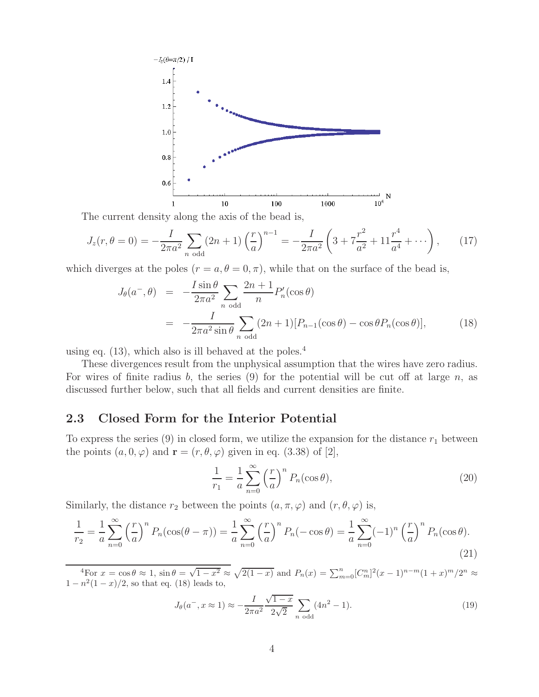

The current density along the axis of the bead is,

$$
J_z(r,\theta=0) = -\frac{I}{2\pi a^2} \sum_{n \text{ odd}} (2n+1) \left(\frac{r}{a}\right)^{n-1} = -\frac{I}{2\pi a^2} \left(3 + 7\frac{r^2}{a^2} + 11\frac{r^4}{a^4} + \cdots\right),\tag{17}
$$

which diverges at the poles  $(r = a, \theta = 0, \pi)$ , while that on the surface of the bead is,

$$
J_{\theta}(a^{-},\theta) = -\frac{I\sin\theta}{2\pi a^{2}} \sum_{n \text{ odd}} \frac{2n+1}{n} P'_{n}(\cos\theta)
$$
  

$$
= -\frac{I}{2\pi a^{2} \sin\theta} \sum_{n \text{ odd}} (2n+1) [P_{n-1}(\cos\theta) - \cos\theta P_{n}(\cos\theta)],
$$
(18)

using eq.  $(13)$ , which also is ill behaved at the poles.<sup>4</sup>

These divergences result from the unphysical assumption that the wires have zero radius. For wires of finite radius b, the series  $(9)$  for the potential will be cut off at large n, as discussed further below, such that all fields and current densities are finite.

### **2.3 Closed Form for the Interior Potential**

To express the series  $(9)$  in closed form, we utilize the expansion for the distance  $r_1$  between the points  $(a, 0, \varphi)$  and  $\mathbf{r} = (r, \theta, \varphi)$  given in eq. (3.38) of [2],

$$
\frac{1}{r_1} = \frac{1}{a} \sum_{n=0}^{\infty} \left(\frac{r}{a}\right)^n P_n(\cos \theta),\tag{20}
$$

Similarly, the distance  $r_2$  between the points  $(a, \pi, \varphi)$  and  $(r, \theta, \varphi)$  is,

$$
\frac{1}{r_2} = \frac{1}{a} \sum_{n=0}^{\infty} \left(\frac{r}{a}\right)^n P_n(\cos(\theta - \pi)) = \frac{1}{a} \sum_{n=0}^{\infty} \left(\frac{r}{a}\right)^n P_n(-\cos\theta) = \frac{1}{a} \sum_{n=0}^{\infty} (-1)^n \left(\frac{r}{a}\right)^n P_n(\cos\theta).
$$
\n(21)

 $\frac{4}{\pi}$  For  $x = \cos \theta \approx 1$ ,  $\sin \theta = \sqrt{1 - x^2} \approx \sqrt{2(1 - x)}$  and  $P_n(x) = \sum_{m=0}^n [C_m^n]^2 (x - 1)^{n-m} (1 + x)^m / 2^n \approx$  $1 - n^2(1 - x)/2$ , so that eq. (18) leads to,

$$
J_{\theta}(a^-, x \approx 1) \approx -\frac{I}{2\pi a^2} \frac{\sqrt{1-x}}{2\sqrt{2}} \sum_{n \text{ odd}} (4n^2 - 1).
$$
 (19)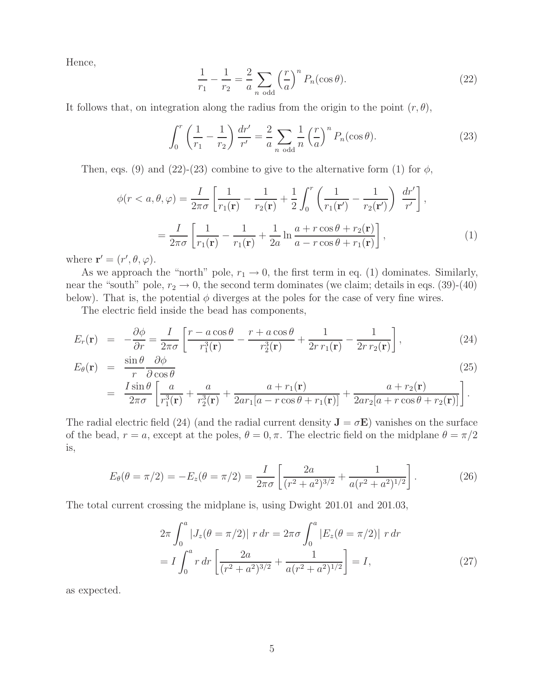Hence,

$$
\frac{1}{r_1} - \frac{1}{r_2} = \frac{2}{a} \sum_{n \text{ odd}} \left(\frac{r}{a}\right)^n P_n(\cos \theta).
$$
 (22)

It follows that, on integration along the radius from the origin to the point  $(r, \theta)$ ,

$$
\int_0^r \left(\frac{1}{r_1} - \frac{1}{r_2}\right) \frac{dr'}{r'} = \frac{2}{a} \sum_{n \text{ odd}} \frac{1}{n} \left(\frac{r}{a}\right)^n P_n(\cos \theta). \tag{23}
$$

Then, eqs. (9) and (22)-(23) combine to give to the alternative form (1) for  $\phi$ ,

$$
\phi(r < a, \theta, \varphi) = \frac{I}{2\pi\sigma} \left[ \frac{1}{r_1(\mathbf{r})} - \frac{1}{r_2(\mathbf{r})} + \frac{1}{2} \int_0^r \left( \frac{1}{r_1(\mathbf{r}')} - \frac{1}{r_2(\mathbf{r}')} \right) \frac{dr'}{r'} \right],
$$
\n
$$
= \frac{I}{2\pi\sigma} \left[ \frac{1}{r_1(\mathbf{r})} - \frac{1}{r_1(\mathbf{r})} + \frac{1}{2a} \ln \frac{a + r \cos \theta + r_2(\mathbf{r})}{a - r \cos \theta + r_1(\mathbf{r})} \right],
$$
\n(1)

where  $\mathbf{r}' = (r', \theta, \varphi)$ .

As we approach the "north" pole,  $r_1 \rightarrow 0$ , the first term in eq. (1) dominates. Similarly, near the "south" pole,  $r_2 \rightarrow 0$ , the second term dominates (we claim; details in eqs. (39)-(40) below). That is, the potential  $\phi$  diverges at the poles for the case of very fine wires.

The electric field inside the bead has components,

$$
E_r(\mathbf{r}) = -\frac{\partial \phi}{\partial r} = \frac{I}{2\pi\sigma} \left[ \frac{r - a\cos\theta}{r_1^3(\mathbf{r})} - \frac{r + a\cos\theta}{r_2^3(\mathbf{r})} + \frac{1}{2r r_1(\mathbf{r})} - \frac{1}{2r r_2(\mathbf{r})} \right],\tag{24}
$$

$$
E_{\theta}(\mathbf{r}) = \frac{\sin \theta}{r} \frac{\partial \phi}{\partial \cos \theta}
$$
  
= 
$$
\frac{I \sin \theta}{2\pi \sigma} \left[ \frac{a}{r_1^3(\mathbf{r})} + \frac{a}{r_2^3(\mathbf{r})} + \frac{a + r_1(\mathbf{r})}{2ar_1[a - r\cos\theta + r_1(\mathbf{r})]} + \frac{a + r_2(\mathbf{r})}{2ar_2[a + r\cos\theta + r_2(\mathbf{r})]} \right].
$$
 (25)

The radial electric field (24) (and the radial current density  $\mathbf{J} = \sigma \mathbf{E}$ ) vanishes on the surface of the bead,  $r = a$ , except at the poles,  $\theta = 0, \pi$ . The electric field on the midplane  $\theta = \pi/2$ is,

$$
E_{\theta}(\theta = \pi/2) = -E_z(\theta = \pi/2) = \frac{I}{2\pi\sigma} \left[ \frac{2a}{(r^2 + a^2)^{3/2}} + \frac{1}{a(r^2 + a^2)^{1/2}} \right].
$$
 (26)

The total current crossing the midplane is, using Dwight 201.01 and 201.03,

$$
2\pi \int_0^a |J_z(\theta = \pi/2)| r dr = 2\pi \sigma \int_0^a |E_z(\theta = \pi/2)| r dr
$$
  
=  $I \int_0^a r dr \left[ \frac{2a}{(r^2 + a^2)^{3/2}} + \frac{1}{a(r^2 + a^2)^{1/2}} \right] = I,$  (27)

as expected.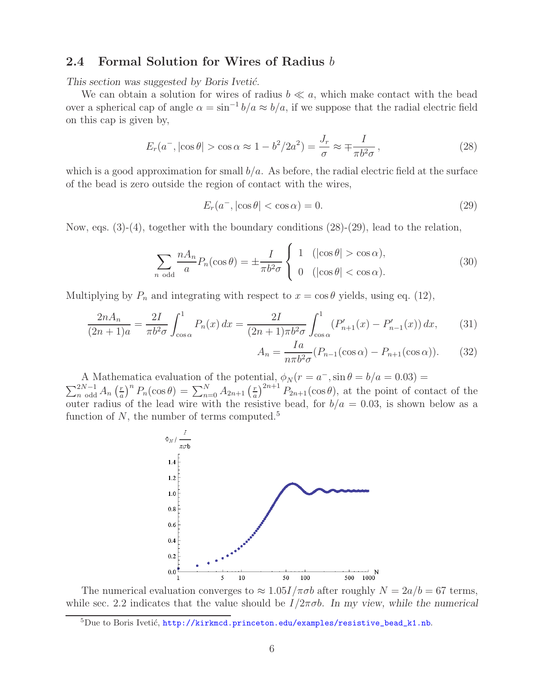## **2.4 Formal Solution for Wires of Radius** b

This section was suggested by Boris Ivetić.

We can obtain a solution for wires of radius  $b \ll a$ , which make contact with the bead over a spherical cap of angle  $\alpha = \sin^{-1} b/a \approx b/a$ , if we suppose that the radial electric field on this cap is given by,

$$
E_r(a^-, |\cos \theta| > \cos \alpha \approx 1 - b^2/2a^2) = \frac{J_r}{\sigma} \approx \mp \frac{I}{\pi b^2 \sigma},\qquad(28)
$$

which is a good approximation for small  $b/a$ . As before, the radial electric field at the surface of the bead is zero outside the region of contact with the wires,

$$
E_r(a^-, |\cos \theta| < \cos \alpha) = 0. \tag{29}
$$

Now, eqs.  $(3)-(4)$ , together with the boundary conditions  $(28)-(29)$ , lead to the relation,

$$
\sum_{n \text{ odd}} \frac{n A_n}{a} P_n(\cos \theta) = \pm \frac{I}{\pi b^2 \sigma} \begin{cases} 1 & (\left| \cos \theta \right| > \cos \alpha), \\ 0 & (\left| \cos \theta \right| < \cos \alpha). \end{cases} (30)
$$

Multiplying by  $P_n$  and integrating with respect to  $x = \cos \theta$  yields, using eq. (12),

$$
\frac{2nA_n}{(2n+1)a} = \frac{2I}{\pi b^2 \sigma} \int_{\cos \alpha}^1 P_n(x) \, dx = \frac{2I}{(2n+1)\pi b^2 \sigma} \int_{\cos \alpha}^1 (P'_{n+1}(x) - P'_{n-1}(x)) \, dx,\tag{31}
$$

$$
A_n = \frac{Ia}{n\pi b^2 \sigma} (P_{n-1}(\cos \alpha) - P_{n+1}(\cos \alpha)). \tag{32}
$$

A Mathematica evaluation of the potential,  $\phi_N (r = a^-, \sin \theta = b/a = 0.03)$ 

 $\sum_{n=0}^{2N-1} A_n \left(\frac{r}{a}\right)^n P_n(\cos\theta) = \sum_{n=0}^N A_{2n+1} \left(\frac{r}{a}\right)^{2n+1} P_{2n+1}(\cos\theta)$ , at the point of contact of the outer radius of the lead wire with the resistive bead, for  $b/a = 0.03$ , is shown below as a function of  $N$ , the number of terms computed.<sup>5</sup>



The numerical evaluation converges to  $\approx 1.05I/\pi\sigma b$  after roughly  $N = 2a/b = 67$  terms, while sec. 2.2 indicates that the value should be I/2πσb. *In my view, while the numerical*

 ${}^{5}$ Due to Boris Ivetić, http://kirkmcd.princeton.edu/examples/resistive\_bead\_k1.nb.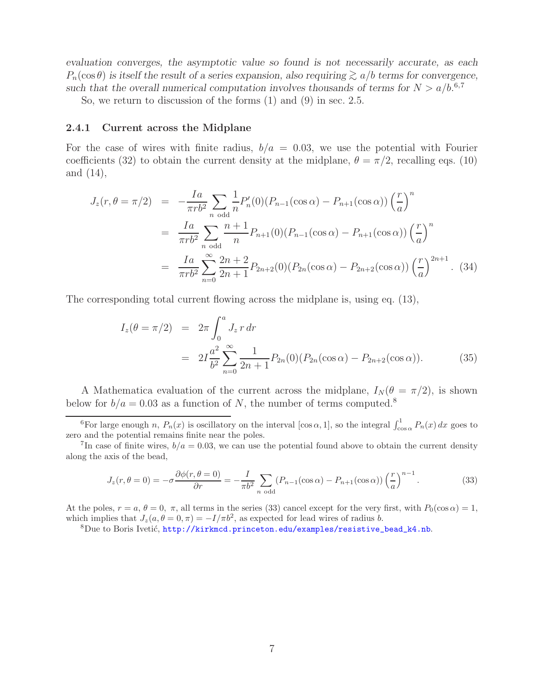*evaluation converges, the asymptotic value so found is not necessarily accurate, as each*  $P_n(\cos \theta)$  *is itself the result of a series expansion, also requiring*  $\gtrsim a/b$  *terms for convergence,* such that the overall numerical computation involves thousands of terms for  $N > a/b$ <sup>6,7</sup>

So, we return to discussion of the forms (1) and (9) in sec. 2.5.

#### **2.4.1 Current across the Midplane**

For the case of wires with finite radius,  $b/a = 0.03$ , we use the potential with Fourier coefficients (32) to obtain the current density at the midplane,  $\theta = \pi/2$ , recalling eqs. (10) and (14),

$$
J_z(r, \theta = \pi/2) = -\frac{Ia}{\pi rb^2} \sum_{n \text{ odd}} \frac{1}{n} P'_n(0) (P_{n-1}(\cos \alpha) - P_{n+1}(\cos \alpha)) \left(\frac{r}{a}\right)^n
$$
  

$$
= \frac{Ia}{\pi rb^2} \sum_{n \text{ odd}} \frac{n+1}{n} P_{n+1}(0) (P_{n-1}(\cos \alpha) - P_{n+1}(\cos \alpha)) \left(\frac{r}{a}\right)^n
$$
  

$$
= \frac{Ia}{\pi rb^2} \sum_{n=0}^{\infty} \frac{2n+2}{2n+1} P_{2n+2}(0) (P_{2n}(\cos \alpha) - P_{2n+2}(\cos \alpha)) \left(\frac{r}{a}\right)^{2n+1} . \tag{34}
$$

The corresponding total current flowing across the midplane is, using eq. (13),

$$
I_z(\theta = \pi/2) = 2\pi \int_0^a J_z r dr
$$
  
= 
$$
2I \frac{a^2}{b^2} \sum_{n=0}^{\infty} \frac{1}{2n+1} P_{2n}(0) (P_{2n}(\cos \alpha) - P_{2n+2}(\cos \alpha)).
$$
 (35)

A Mathematica evaluation of the current across the midplane,  $I_N(\theta = \pi/2)$ , is shown below for  $b/a = 0.03$  as a function of N, the number of terms computed.<sup>8</sup>

$$
J_z(r, \theta = 0) = -\sigma \frac{\partial \phi(r, \theta = 0)}{\partial r} = -\frac{I}{\pi b^2} \sum_{n \text{ odd}} (P_{n-1}(\cos \alpha) - P_{n+1}(\cos \alpha)) \left(\frac{r}{a}\right)^{n-1}.
$$
 (33)

At the poles,  $r = a, \theta = 0, \pi$ , all terms in the series (33) cancel except for the very first, with  $P_0(\cos \alpha) = 1$ , which implies that  $J_z(a, \theta = 0, \pi) = -I/\pi b^2$ , as expected for lead wires of radius b.<br><sup>8</sup>Due to Boris Ivetić, **http://kirkmcd.princeton.edu/examples/resistive\_bead\_k4.nb.** 

<sup>&</sup>lt;sup>6</sup>For large enough n,  $P_n(x)$  is oscillatory on the interval  $[\cos \alpha, 1]$ , so the integral  $\int_{\cos \alpha}^1 P_n(x) dx$  goes to zero and the potential remains finite near the poles.

<sup>&</sup>lt;sup>7</sup>In case of finite wires,  $b/a = 0.03$ , we can use the potential found above to obtain the current density along the axis of the bead,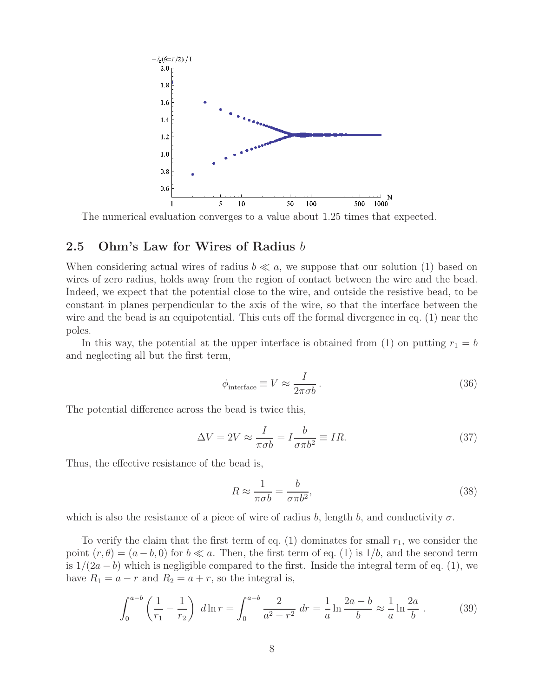

The numerical evaluation converges to a value about 1.25 times that expected.

### **2.5 Ohm's Law for Wires of Radius** b

When considering actual wires of radius  $b \ll a$ , we suppose that our solution (1) based on wires of zero radius, holds away from the region of contact between the wire and the bead. Indeed, we expect that the potential close to the wire, and outside the resistive bead, to be constant in planes perpendicular to the axis of the wire, so that the interface between the wire and the bead is an equipotential. This cuts off the formal divergence in eq. (1) near the poles.

In this way, the potential at the upper interface is obtained from (1) on putting  $r_1 = b$ and neglecting all but the first term,

$$
\phi_{\text{interface}} \equiv V \approx \frac{I}{2\pi\sigma b} \,. \tag{36}
$$

The potential difference across the bead is twice this,

$$
\Delta V = 2V \approx \frac{I}{\pi \sigma b} = I \frac{b}{\sigma \pi b^2} \equiv IR.
$$
\n(37)

Thus, the effective resistance of the bead is,

$$
R \approx \frac{1}{\pi \sigma b} = \frac{b}{\sigma \pi b^2},\tag{38}
$$

which is also the resistance of a piece of wire of radius b, length b, and conductivity  $\sigma$ .

To verify the claim that the first term of eq.  $(1)$  dominates for small  $r_1$ , we consider the point  $(r, \theta) = (a - b, 0)$  for  $b \ll a$ . Then, the first term of eq. (1) is 1/b, and the second term is  $1/(2a - b)$  which is negligible compared to the first. Inside the integral term of eq. (1), we have  $R_1 = a - r$  and  $R_2 = a + r$ , so the integral is,

$$
\int_0^{a-b} \left(\frac{1}{r_1} - \frac{1}{r_2}\right) d\ln r = \int_0^{a-b} \frac{2}{a^2 - r^2} dr = \frac{1}{a} \ln \frac{2a - b}{b} \approx \frac{1}{a} \ln \frac{2a}{b} . \tag{39}
$$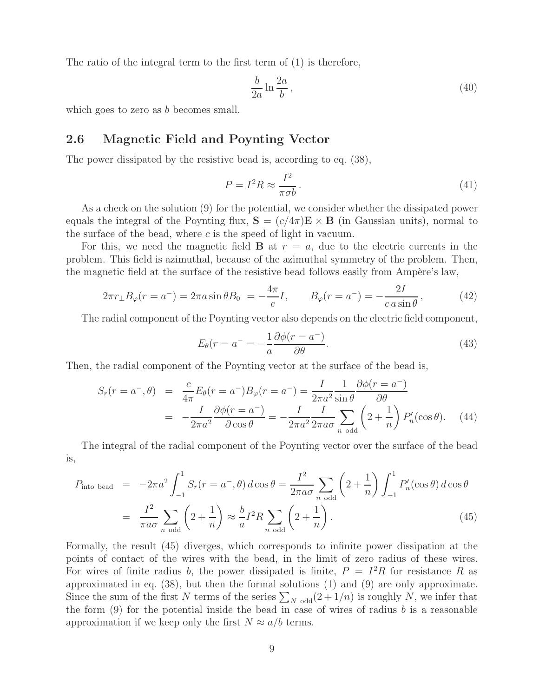The ratio of the integral term to the first term of (1) is therefore,

$$
\frac{b}{2a}\ln\frac{2a}{b},\tag{40}
$$

which goes to zero as b becomes small.

#### **2.6 Magnetic Field and Poynting Vector**

The power dissipated by the resistive bead is, according to eq. (38),

$$
P = I^2 R \approx \frac{I^2}{\pi \sigma b}.
$$
\n(41)

As a check on the solution (9) for the potential, we consider whether the dissipated power equals the integral of the Poynting flux,  $\mathbf{S} = (c/4\pi)\mathbf{E} \times \mathbf{B}$  (in Gaussian units), normal to the surface of the bead, where  $c$  is the speed of light in vacuum.

For this, we need the magnetic field **B** at  $r = a$ , due to the electric currents in the problem. This field is azimuthal, because of the azimuthal symmetry of the problem. Then, the magnetic field at the surface of the resistive bead follows easily from Ampère's law,

$$
2\pi r_{\perp}B_{\varphi}(r = a^{-}) = 2\pi a \sin \theta B_{0} = -\frac{4\pi}{c}I, \qquad B_{\varphi}(r = a^{-}) = -\frac{2I}{c \, a \sin \theta}, \tag{42}
$$

The radial component of the Poynting vector also depends on the electric field component,

$$
E_{\theta}(r = a^{-} = -\frac{1}{a} \frac{\partial \phi(r = a^{-})}{\partial \theta}.
$$
\n(43)

Then, the radial component of the Poynting vector at the surface of the bead is,

$$
S_r(r = a^-,\theta) = \frac{c}{4\pi} E_\theta(r = a^-) B_\varphi(r = a^-) = \frac{I}{2\pi a^2} \frac{1}{\sin \theta} \frac{\partial \phi(r = a^-)}{\partial \theta}
$$

$$
= -\frac{I}{2\pi a^2} \frac{\partial \phi(r = a^-)}{\partial \cos \theta} = -\frac{I}{2\pi a^2} \frac{I}{2\pi a \sigma} \sum_{n \text{ odd}} \left(2 + \frac{1}{n}\right) P'_n(\cos \theta). \quad (44)
$$

The integral of the radial component of the Poynting vector over the surface of the bead is,

$$
P_{\text{into bead}} = -2\pi a^2 \int_{-1}^1 S_r(r = a^-, \theta) d\cos\theta = \frac{I^2}{2\pi a\sigma} \sum_{n \text{ odd}} \left(2 + \frac{1}{n}\right) \int_{-1}^1 P'_n(\cos\theta) d\cos\theta
$$

$$
= \frac{I^2}{\pi a\sigma} \sum_{n \text{ odd}} \left(2 + \frac{1}{n}\right) \approx \frac{b}{a} I^2 R \sum_{n \text{ odd}} \left(2 + \frac{1}{n}\right). \tag{45}
$$

Formally, the result (45) diverges, which corresponds to infinite power dissipation at the points of contact of the wires with the bead, in the limit of zero radius of these wires. For wires of finite radius b, the power dissipated is finite,  $P = I^2 R$  for resistance R as approximated in eq. (38), but then the formal solutions (1) and (9) are only approximate. Since the sum of the first N terms of the series  $\sum_{N \text{ odd}}(2+1/n)$  is roughly N, we infer that the form  $(9)$  for the potential inside the bead in case of wires of radius b is a reasonable approximation if we keep only the first  $N \approx a/b$  terms.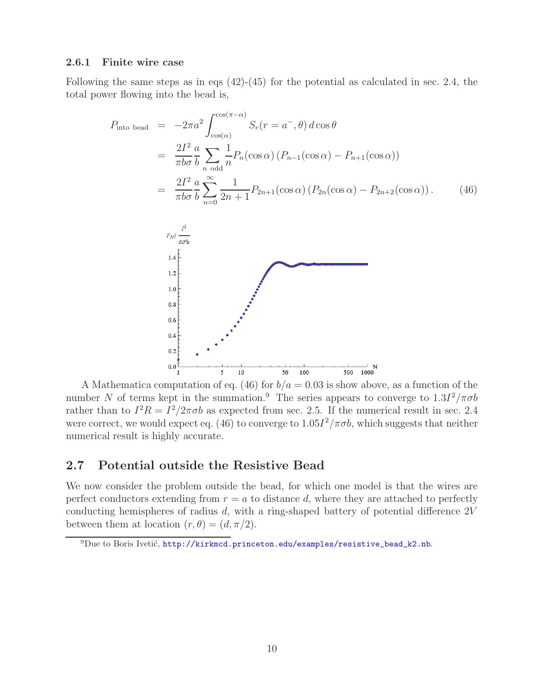#### **2.6.1 Finite wire case**

Following the same steps as in eqs  $(42)-(45)$  for the potential as calculated in sec. 2.4, the total power flowing into the bead is,

$$
P_{\text{into bead}} = -2\pi a^2 \int_{\cos(\alpha)}^{\cos(\pi-\alpha)} S_r(r = a^-,\theta) d\cos\theta
$$
  
\n
$$
= \frac{2I^2}{\pi b\sigma} \frac{a}{b} \sum_{n \text{ odd}} \frac{1}{n} P_n(\cos\alpha) (P_{n-1}(\cos\alpha) - P_{n+1}(\cos\alpha))
$$
  
\n
$$
= \frac{2I^2}{\pi b\sigma} \frac{a}{b} \sum_{n=0}^{\infty} \frac{1}{2n+1} P_{2n+1}(\cos\alpha) (P_{2n}(\cos\alpha) - P_{2n+2}(\cos\alpha)). \qquad (46)
$$
  
\n
$$
P_{N}/\frac{I^2}{\pi\sigma b}
$$
  
\n1.1  
\n1.2  
\n1.3  
\n1.4  
\n1.5  
\n1.6  
\n1.7  
\n1.8  
\n1.9  
\n1.10  
\n1.11  
\n1.2  
\n1.3  
\n1.4  
\n1.5  
\n1.6  
\n1.7  
\n1.9  
\n1.10  
\n1.11  
\n1.12  
\n1.13  
\n1.14  
\n1.2  
\n1.3  
\n1.4  
\n1.5  
\n1.6  
\n1.7  
\n1.8  
\n1.9  
\n1.10  
\n1.11  
\n1.12  
\n1.13  
\n1.14  
\n1.15  
\n1.16  
\n1.17  
\n1.19  
\n1.10  
\n1.10  
\n1.11  
\n1.12  
\n1.13  
\n1.14  
\n1.15  
\n1.16  
\n1.17  
\n1.19  
\n1.10  
\n1.10  
\n1.10  
\n1.11  
\n1.12  
\n1.13  
\n1.14  
\n1.15  
\n1.16  
\n1.17  
\n1.19  
\n1.10  
\n1.10  
\n1.10  
\n1.10  
\n1.11  
\n1.12  
\n1.13  
\n1.14  
\n1.15  
\n1.16  
\n1.17  
\n1.19  
\n1.10  
\n1.10  
\

A Mathematica computation of eq. (46) for  $b/a = 0.03$  is show above, as a function of the number N of terms kept in the summation.<sup>9</sup> The series appears to converge to  $1.3I^2/\pi\sigma b$ rather than to  $I^2R = I^2/2\pi\sigma b$  as expected from sec. 2.5. If the numerical result in sec. 2.4 were correct, we would expect eq. (46) to converge to  $1.05I^2/\pi\sigma b$ , which suggests that neither numerical result is highly accurate.

#### **2.7 Potential outside the Resistive Bead**

We now consider the problem outside the bead, for which one model is that the wires are perfect conductors extending from  $r = a$  to distance d, where they are attached to perfectly conducting hemispheres of radius  $d$ , with a ring-shaped battery of potential difference  $2V$ between them at location  $(r, \theta) = (d, \pi/2)$ .

 $^{9}$ Due to Boris Ivetić, http://kirkmcd.princeton.edu/examples/resistive\_bead\_k2.nb.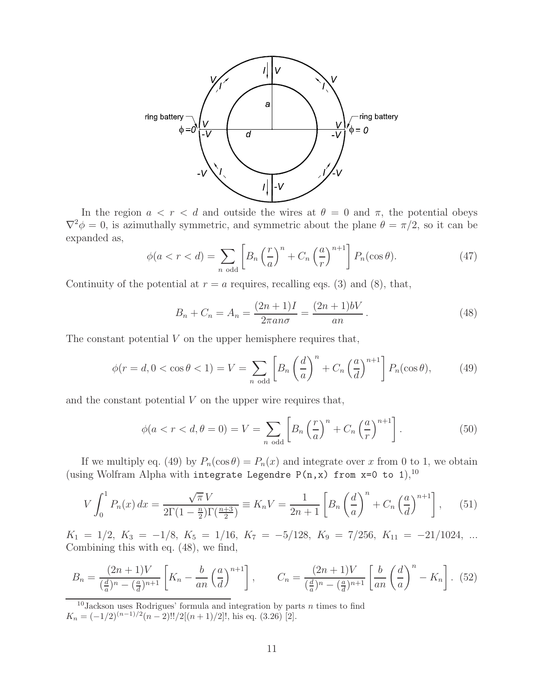

In the region  $a < r < d$  and outside the wires at  $\theta = 0$  and  $\pi$ , the potential obeys  $\nabla^2 \phi = 0$ , is azimuthally symmetric, and symmetric about the plane  $\theta = \pi/2$ , so it can be expanded as,

$$
\phi(a < r < d) = \sum_{n \text{ odd}} \left[ B_n \left( \frac{r}{a} \right)^n + C_n \left( \frac{a}{r} \right)^{n+1} \right] P_n(\cos \theta). \tag{47}
$$

Continuity of the potential at  $r = a$  requires, recalling eqs. (3) and (8), that,

$$
B_n + C_n = A_n = \frac{(2n+1)I}{2\pi a n \sigma} = \frac{(2n+1)bV}{an}.
$$
 (48)

The constant potential  $V$  on the upper hemisphere requires that,

$$
\phi(r=d, 0<\cos\theta<1)=V=\sum_{n \text{ odd}}\left[B_n\left(\frac{d}{a}\right)^n+C_n\left(\frac{a}{d}\right)^{n+1}\right]P_n(\cos\theta),\qquad(49)
$$

and the constant potential  $V$  on the upper wire requires that,

$$
\phi(a < r < d, \theta = 0) = V = \sum_{n \text{ odd}} \left[ B_n \left( \frac{r}{a} \right)^n + C_n \left( \frac{a}{r} \right)^{n+1} \right]. \tag{50}
$$

If we multiply eq. (49) by  $P_n(\cos \theta) = P_n(x)$  and integrate over x from 0 to 1, we obtain (using Wolfram Alpha with integrate Legendre P(n,x) from  $x=0$  to 1),<sup>10</sup>

$$
V \int_0^1 P_n(x) \, dx = \frac{\sqrt{\pi} V}{2\Gamma(1 - \frac{n}{2})\Gamma(\frac{n+3}{2})} \equiv K_n V = \frac{1}{2n+1} \left[ B_n \left( \frac{d}{a} \right)^n + C_n \left( \frac{a}{d} \right)^{n+1} \right], \tag{51}
$$

 $K_1 = 1/2, K_3 = -1/8, K_5 = 1/16, K_7 = -5/128, K_9 = 7/256, K_{11} = -21/1024, ...$ Combining this with eq. (48), we find,

$$
B_n = \frac{(2n+1)V}{\left(\frac{d}{a}\right)^n - \left(\frac{a}{d}\right)^{n+1}} \left[K_n - \frac{b}{an} \left(\frac{a}{d}\right)^{n+1}\right], \qquad C_n = \frac{(2n+1)V}{\left(\frac{d}{a}\right)^n - \left(\frac{a}{d}\right)^{n+1}} \left[\frac{b}{an} \left(\frac{d}{a}\right)^n - K_n\right].
$$
 (52)

<sup>&</sup>lt;sup>10</sup>Jackson uses Rodrigues' formula and integration by parts  $n$  times to find  $K_n = (-1/2)^{(n-1)/2}(n-2)!!/2[(n+1)/2]!,$  his eq. (3.26) [2].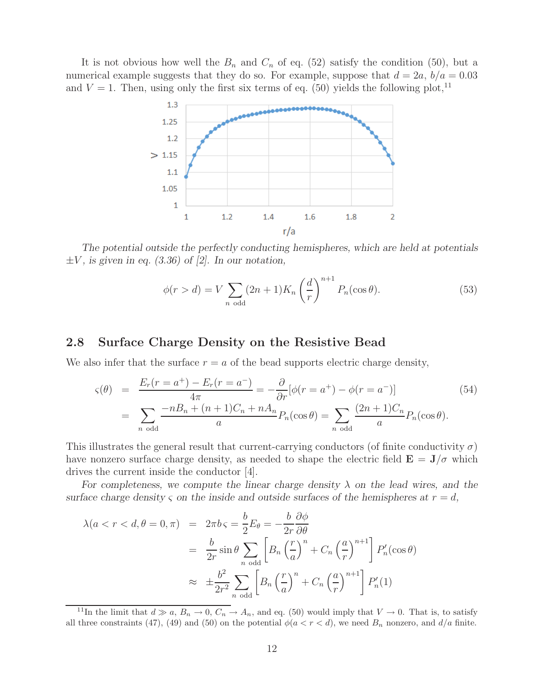It is not obvious how well the  $B_n$  and  $C_n$  of eq. (52) satisfy the condition (50), but a numerical example suggests that they do so. For example, suppose that  $d = 2a, b/a = 0.03$ and  $V = 1$ . Then, using only the first six terms of eq. (50) yields the following plot,<sup>11</sup>



*The potential outside the perfectly conducting hemispheres, which are held at potentials*  $\pm V$ , is given in eq. (3.36) of [2]. In our notation,

$$
\phi(r > d) = V \sum_{n \text{ odd}} (2n+1) K_n \left(\frac{d}{r}\right)^{n+1} P_n(\cos \theta). \tag{53}
$$

#### **2.8 Surface Charge Density on the Resistive Bead**

We also infer that the surface  $r = a$  of the bead supports electric charge density,

$$
\varsigma(\theta) = \frac{E_r(r = a^+) - E_r(r = a^-)}{4\pi} = -\frac{\partial}{\partial r} [\phi(r = a^+) - \phi(r = a^-)]
$$
(54)  
= 
$$
\sum_{n \text{ odd}} \frac{-nB_n + (n+1)C_n + nA_n}{a} P_n(\cos \theta) = \sum_{n \text{ odd}} \frac{(2n+1)C_n}{a} P_n(\cos \theta).
$$

This illustrates the general result that current-carrying conductors (of finite conductivity  $\sigma$ ) have nonzero surface charge density, as needed to shape the electric field  $\mathbf{E} = \mathbf{J}/\sigma$  which drives the current inside the conductor [4].

*For completeness, we compute the linear charge density* λ *on the lead wires, and the surface charge density*  $\varsigma$  *on the inside and outside surfaces of the hemispheres at*  $r = d$ ,

$$
\lambda(a < r < d, \theta = 0, \pi) = 2\pi b \varsigma = \frac{b}{2} E_{\theta} = -\frac{b}{2r} \frac{\partial \phi}{\partial \theta}
$$

$$
= \frac{b}{2r} \sin \theta \sum_{n \text{ odd}} \left[ B_n \left(\frac{r}{a}\right)^n + C_n \left(\frac{a}{r}\right)^{n+1} \right] P'_n(\cos \theta)
$$

$$
\approx \pm \frac{b^2}{2r^2} \sum_{n \text{ odd}} \left[ B_n \left(\frac{r}{a}\right)^n + C_n \left(\frac{a}{r}\right)^{n+1} \right] P'_n(1)
$$

<sup>&</sup>lt;sup>11</sup>In the limit that  $d \gg a$ ,  $B_n \to 0$ ,  $C_n \to A_n$ , and eq. (50) would imply that  $V \to 0$ . That is, to satisfy all three constraints (47), (49) and (50) on the potential  $\phi(a < r < d)$ , we need  $B_n$  nonzero, and  $d/a$  finite.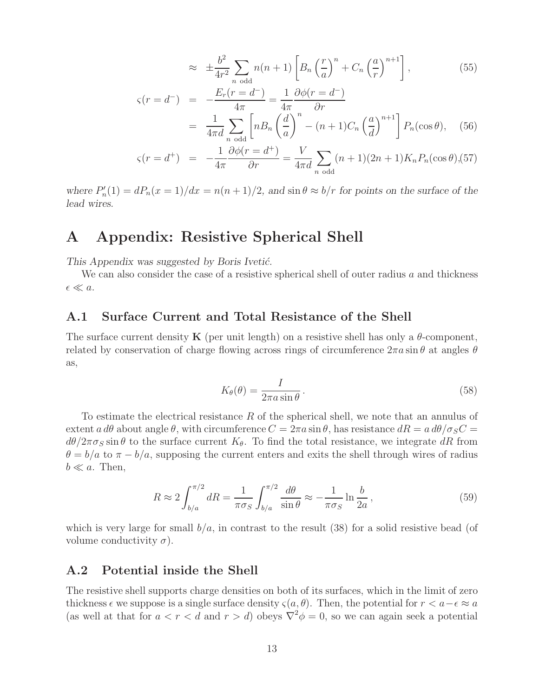$$
\approx \pm \frac{b^2}{4r^2} \sum_{n \text{ odd}} n(n+1) \left[ B_n \left( \frac{r}{a} \right)^n + C_n \left( \frac{a}{r} \right)^{n+1} \right],\tag{55}
$$

$$
\varsigma(r = d^{-}) = -\frac{E_r(r = d^{-})}{4\pi} = \frac{1}{4\pi} \frac{\partial \phi(r = d^{-})}{\partial r}
$$

$$
= \frac{1}{4\pi d} \sum_{n \text{ odd}} \left[ n B_n \left( \frac{d}{a} \right)^n - (n+1) C_n \left( \frac{a}{d} \right)^{n+1} \right] P_n(\cos \theta), \quad (56)
$$

$$
\varsigma(r = d^{+}) = -\frac{1}{4\pi} \frac{\partial \phi(r = d^{+})}{\partial r} = \frac{V}{4\pi d} \sum_{n \text{ odd}} (n+1)(2n+1) K_{n} P_{n}(\cos \theta), (57)
$$

where  $P'_n(1) = dP_n(x = 1)/dx = n(n+1)/2$ , and  $\sin \theta \approx b/r$  for points on the surface of the *lead wires.*

## **A Appendix: Resistive Spherical Shell**

*This Appendix was suggested by Boris Iveti´c.*

We can also consider the case of a resistive spherical shell of outer radius  $a$  and thickness  $\epsilon \ll a$ .

### **A.1 Surface Current and Total Resistance of the Shell**

The surface current density **K** (per unit length) on a resistive shell has only a  $\theta$ -component, related by conservation of charge flowing across rings of circumference  $2\pi a \sin \theta$  at angles  $\theta$ as,

$$
K_{\theta}(\theta) = \frac{I}{2\pi a \sin \theta}.
$$
\n(58)

To estimate the electrical resistance R of the spherical shell, we note that an annulus of extent  $a d\theta$  about angle  $\theta$ , with circumference  $C = 2\pi a \sin \theta$ , has resistance  $dR = a d\theta / \sigma_S C =$  $d\theta/2\pi\sigma_S\sin\theta$  to the surface current  $K_{\theta}$ . To find the total resistance, we integrate dR from  $\theta = b/a$  to  $\pi - b/a$ , supposing the current enters and exits the shell through wires of radius  $b \ll a$ . Then,

$$
R \approx 2 \int_{b/a}^{\pi/2} dR = \frac{1}{\pi \sigma_S} \int_{b/a}^{\pi/2} \frac{d\theta}{\sin \theta} \approx -\frac{1}{\pi \sigma_S} \ln \frac{b}{2a},\qquad(59)
$$

which is very large for small  $b/a$ , in contrast to the result (38) for a solid resistive bead (of volume conductivity  $\sigma$ ).

### **A.2 Potential inside the Shell**

The resistive shell supports charge densities on both of its surfaces, which in the limit of zero thickness  $\epsilon$  we suppose is a single surface density  $\varsigma(a, \theta)$ . Then, the potential for  $r < a - \epsilon \approx a$ (as well at that for  $a < r < d$  and  $r > d$ ) obeys  $\nabla^2 \phi = 0$ , so we can again seek a potential